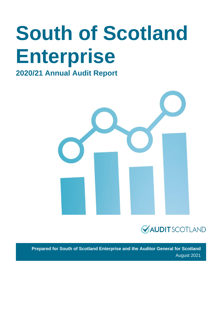# **South of Scotland Enterprise**

### **2020/21 Annual Audit Report**





**Prepared for South of Scotland Enterprise and the Auditor General for Scotland** August 2021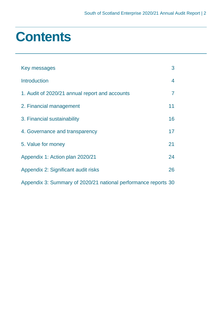### **Contents**

| Key messages                                                   | 3  |
|----------------------------------------------------------------|----|
| <b>Introduction</b>                                            | 4  |
| 1. Audit of 2020/21 annual report and accounts                 | 7  |
| 2. Financial management                                        | 11 |
| 3. Financial sustainability                                    | 16 |
| 4. Governance and transparency                                 | 17 |
| 5. Value for money                                             | 21 |
| Appendix 1: Action plan 2020/21                                | 24 |
| Appendix 2: Significant audit risks                            | 26 |
| Appendix 3: Summary of 2020/21 national performance reports 30 |    |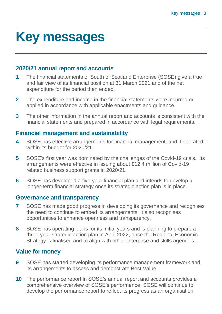### <span id="page-2-0"></span>**Key messages**

#### **2020/21 annual report and accounts**

- **1** The financial statements of South of Scotland Enterprise (SOSE) give a true and fair view of its financial position at 31 March 2021 and of the net expenditure for the period then ended.
- **2** The expenditure and income in the financial statements were incurred or applied in accordance with applicable enactments and guidance.
- **3** The other information in the annual report and accounts is consistent with the financial statements and prepared in accordance with legal requirements.

#### **Financial management and sustainability**

- **4** SOSE has effective arrangements for financial management, and it operated within its budget for 2020/21.
- **5** SOSE's first year was dominated by the challenges of the Covid-19 crisis. Its arrangements were effective in issuing about £12.4 million of Covid-19 related business support grants in 2020/21.
- **6** SOSE has developed a five-year financial plan and intends to develop a longer-term financial strategy once its strategic action plan is in place.

#### **Governance and transparency**

- **7** SOSE has made good progress in developing its governance and recognises the need to continue to embed its arrangements. It also recognises opportunities to enhance openness and transparency.
- **8** SOSE has operating plans for its initial years and is planning to prepare a three-year strategic action plan in April 2022, once the Regional Economic Strategy is finalised and to align with other enterprise and skills agencies.

#### **Value for money**

- **9** SOSE has started developing its performance management framework and its arrangements to assess and demonstrate Best Value.
- **10** The performance report in SOSE's annual report and accounts provides a comprehensive overview of SOSE's performance. SOSE will continue to develop the performance report to reflect its progress as an organisation.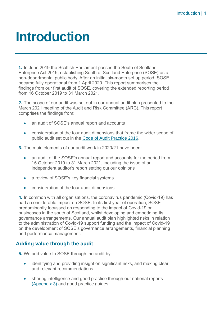### <span id="page-3-0"></span>**Introduction**

**1.** In June 2019 the Scottish Parliament passed the South of Scotland Enterprise Act 2019, establishing South of Scotland Enterprise (SOSE) as a non-departmental public body. After an initial six-month set up period, SOSE became fully operational from 1 April 2020. This report summarises the findings from our first audit of SOSE, covering the extended reporting period from 16 October 2019 to 31 March 2021.

**2.** The scope of our audit was set out in our annual audit plan presented to the March 2021 meeting of the Audit and Risk Committee (ARC). This report comprises the findings from:

- an audit of SOSE's annual report and accounts
- consideration of the four audit dimensions that frame the wider scope of public audit set out in the [Code of Audit Practice 2016.](http://www.audit-scotland.gov.uk/report/code-of-audit-practice-2016)
- **3.** The main elements of our audit work in 2020/21 have been:
	- an audit of the SOSE's annual report and accounts for the period from 16 October 2019 to 31 March 2021, including the issue of an independent auditor's report setting out our opinions
	- a review of SOSE's key financial systems
	- consideration of the four audit dimensions.

**4.** In common with all organisations, the coronavirus pandemic (Covid-19) has had a considerable impact on SOSE. In its first year of operation, SOSE predominantly focussed on responding to the impact of Covid-19 on businesses in the south of Scotland, whilst developing and embedding its governance arrangements. Our annual audit plan highlighted risks in relation to the administration of Covid-19 support funding and the impact of Covid-19 on the development of SOSE's governance arrangements, financial planning and performance management.

#### **Adding value through the audit**

- **5.** We add value to SOSE through the audit by:
	- identifying and providing insight on significant risks, and making clear and relevant recommendations
	- sharing intelligence and good practice through our national reports [\(Appendix 3\)](#page-29-0) and good practice guides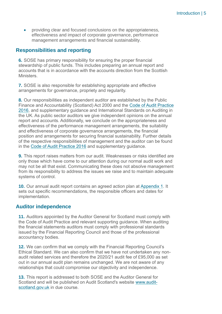• providing clear and focused conclusions on the appropriateness, effectiveness and impact of corporate governance, performance management arrangements and financial sustainability.

#### **Responsibilities and reporting**

**6.** SOSE has primary responsibility for ensuring the proper financial stewardship of public funds. This includes preparing an annual report and accounts that is in accordance with the accounts direction from the Scottish **Ministers** 

**7.** SOSE is also responsible for establishing appropriate and effective arrangements for governance, propriety and regularity.

**8.** Our responsibilities as independent auditor are established by the Public Finance and Accountability (Scotland) Act 2000 and the [Code of Audit Practice](https://www.audit-scotland.gov.uk/report/code-of-audit-practice-2016)  [2016,](https://www.audit-scotland.gov.uk/report/code-of-audit-practice-2016) and supplementary guidance and International Standards on Auditing in the UK. As public sector auditors we give independent opinions on the annual report and accounts. Additionally, we conclude on the appropriateness and effectiveness of the performance management arrangements, the suitability and effectiveness of corporate governance arrangements, the financial position and arrangements for securing financial sustainability. Further details of the respective responsibilities of management and the auditor can be found in the [Code of Audit Practice 2016](http://auditscotland.spideronline.co.uk/report/code-of-audit-practice-2016) and supplementary guidance.

**9.** This report raises matters from our audit. Weaknesses or risks identified are only those which have come to our attention during our normal audit work and may not be all that exist. Communicating these does not absolve management from its responsibility to address the issues we raise and to maintain adequate systems of control.

**10.** Our annual audit report contains an agreed action plan at [Appendix 1.](#page-23-0) It sets out specific recommendations, the responsible officers and dates for implementation.

#### **Auditor independence**

**11.** Auditors appointed by the Auditor General for Scotland must comply with the Code of Audit Practice and relevant supporting guidance. When auditing the financial statements auditors must comply with professional standards issued by the Financial Reporting Council and those of the professional accountancy bodies.

**12.** We can confirm that we comply with the Financial Reporting Council's Ethical Standard. We can also confirm that we have not undertaken any nonaudit related services and therefore the 2020/21 audit fee of £95,000 as set out in our annual audit plan remains unchanged. We are not aware of any relationships that could compromise our objectivity and independence.

**13.** This report is addressed to both SOSE and the Auditor General for Scotland and will be published on Audit Scotland's website [www.audit](http://www.audit-scotland.gov.uk/)[scotland.gov.uk](http://www.audit-scotland.gov.uk/) in due course.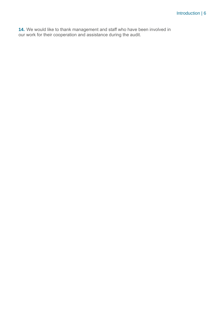**14.** We would like to thank management and staff who have been involved in our work for their cooperation and assistance during the audit.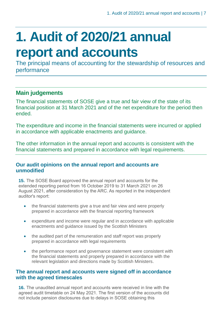## <span id="page-6-0"></span>**1. Audit of 2020/21 annual report and accounts**

The principal means of accounting for the stewardship of resources and performance

#### **Main judgements**

The financial statements of SOSE give a true and fair view of the state of its financial position at 31 March 2021 and of the net expenditure for the period then ended.

The expenditure and income in the financial statements were incurred or applied in accordance with applicable enactments and guidance.

The other information in the annual report and accounts is consistent with the financial statements and prepared in accordance with legal requirements.

#### **Our audit opinions on the annual report and accounts are unmodified**

**15.** The SOSE Board approved the annual report and accounts for the extended reporting period from 16 October 2019 to 31 March 2021 on 26 August 2021, after consideration by the ARC. As reported in the independent auditor's report:

- the financial statements give a true and fair view and were properly prepared in accordance with the financial reporting framework
- expenditure and income were regular and in accordance with applicable enactments and guidance issued by the Scottish Ministers
- the audited part of the remuneration and staff report was properly prepared in accordance with legal requirements
- the performance report and governance statement were consistent with the financial statements and properly prepared in accordance with the relevant legislation and directions made by Scottish Ministers.

#### **The annual report and accounts were signed off in accordance with the agreed timescales**

**16.** The unaudited annual report and accounts were received in line with the agreed audit timetable on 24 May 2021. The first version of the accounts did not include pension disclosures due to delays in SOSE obtaining this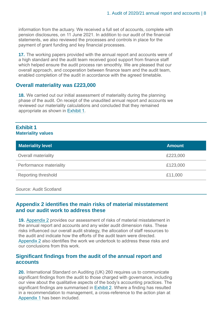information from the actuary. We received a full set of accounts, complete with pension disclosures, on 11 June 2021. In addition to our audit of the financial statements, we also reviewed the processes and controls in place for the payment of grant funding and key financial processes.

**17.** The working papers provided with the annual report and accounts were of a high standard and the audit team received good support from finance staff which helped ensure the audit process ran smoothly. We are pleased that our overall approach, and cooperation between finance team and the audit team, enabled completion of the audit in accordance with the agreed timetable.

#### **Overall materiality was £223,000**

**18.** We carried out our initial assessment of materiality during the planning phase of the audit. On receipt of the unaudited annual report and accounts we reviewed our materiality calculations and concluded that they remained appropriate as shown in [Exhibit](#page-7-0) 1.

#### <span id="page-7-0"></span>**Exhibit 1 Materiality values**

| <b>Materiality level</b>   | <b>Amount</b> |
|----------------------------|---------------|
| <b>Overall materiality</b> | £223,000      |
| Performance materiality    | £123,000      |
| <b>Reporting threshold</b> | £11,000       |

Source: Audit Scotland

#### **Appendix 2 identifies the main risks of material misstatement and our audit work to address these**

**19.** [Appendix 2](#page-25-0) provides our assessment of risks of material misstatement in the annual report and accounts and any wider audit dimension risks. These risks influenced our overall audit strategy, the allocation of staff resources to the audit and indicate how the efforts of the audit team were directed. [Appendix 2](#page-25-0) also identifies the work we undertook to address these risks and our conclusions from this work.

#### **Significant findings from the audit of the annual report and accounts**

<span id="page-7-1"></span>**20.** International Standard on Auditing (UK) 260 requires us to communicate significant findings from the audit to those charged with governance, including our view about the qualitative aspects of the body's accounting practices. The significant findings are summarised in [Exhibit](#page-7-1) 2. Where a finding has resulted in a recommendation to management, a cross-reference to the action plan at [Appendix 1](#page-23-0) has been included.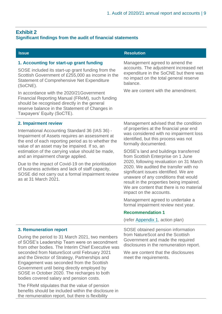#### **Exhibit 2 Significant findings from the audit of financial statements**

the remuneration report, but there is flexibility

| <b>Issue</b>                                                                                                                                                                                                                                                                                                                                                                                                                                                                                                                                                                             | <b>Resolution</b>                                                                                                                                                                                                                                                                                                                                                                                                                                                                                                                                                                                                                                                                                          |
|------------------------------------------------------------------------------------------------------------------------------------------------------------------------------------------------------------------------------------------------------------------------------------------------------------------------------------------------------------------------------------------------------------------------------------------------------------------------------------------------------------------------------------------------------------------------------------------|------------------------------------------------------------------------------------------------------------------------------------------------------------------------------------------------------------------------------------------------------------------------------------------------------------------------------------------------------------------------------------------------------------------------------------------------------------------------------------------------------------------------------------------------------------------------------------------------------------------------------------------------------------------------------------------------------------|
| 1. Accounting for start-up grant funding<br>SOSE included its start-up grant funding from the<br>Scottish Government of £255,000 as income in the<br><b>Statement of Comprehensive Net Expenditure</b><br>(SoCNE).<br>In accordance with the 2020/21 Government<br>Financial Reporting Manual (FReM), such funding<br>should be recognised directly in the general<br>reserve balance in the Statement of Changes in<br>Taxpayers' Equity (SoCTE).                                                                                                                                       | Management agreed to amend the<br>accounts. The adjustment increased net<br>expenditure in the SoCNE but there was<br>no impact on the total general reserve<br>balance.<br>We are content with the amendment.                                                                                                                                                                                                                                                                                                                                                                                                                                                                                             |
| 2. Impairment review<br>International Accounting Standard 36 (IAS 36) -<br>Impairment of Assets requires an assessment at<br>the end of each reporting period as to whether the<br>value of an asset may be impaired. If so, an<br>estimation of the carrying value should be made,<br>and an impairment charge applied.<br>Due to the impact of Covid-19 on the prioritisation<br>of business activities and lack of staff capacity,<br>SOSE did not carry out a formal impairment review<br>as at 31 March 2021.                                                                       | Management advised that the condition<br>of properties at the financial year end<br>was considered with no impairment loss<br>identified, but this process was not<br>formally documented.<br>SOSE's land and buildings transferred<br>from Scottish Enterprise on 1 June<br>2020, following revaluation on 31 March<br>2020. We audited the transfer with no<br>significant issues identified. We are<br>unaware of any conditions that would<br>result in the properties being impaired.<br>We are content that there is no material<br>impact on the accounts.<br>Management agreed to undertake a<br>formal impairment review next year.<br><b>Recommendation 1</b><br>(refer Appendix 1, action plan) |
| <b>3. Remuneration report</b><br>During the period to 31 March 2021, two members<br>of SOSE's Leadership Team were on secondment<br>from other bodies. The Interim Chief Executive was<br>seconded from NatureScot until February 2021<br>and the Director of Strategy, Partnerships and<br>Engagement was seconded from the Scottish<br>Government until being directly employed by<br>SOSE in October 2020. The recharges to both<br>bodies covered salary and pension costs.<br>The FReM stipulates that the value of pension<br>benefits should be included within the disclosure in | SOSE obtained pension information<br>from NatureScot and the Scottish<br>Government and made the required<br>disclosures in the remuneration report.<br>We are content that the disclosures<br>meet the requirements.                                                                                                                                                                                                                                                                                                                                                                                                                                                                                      |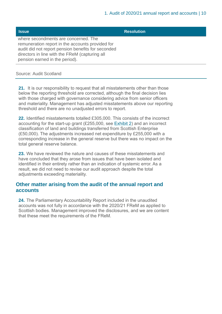| <b>Issue</b>                                                                                                                                                                                                                       | <b>Resolution</b> |
|------------------------------------------------------------------------------------------------------------------------------------------------------------------------------------------------------------------------------------|-------------------|
| where secondments are concerned. The<br>remuneration report in the accounts provided for<br>audit did not report pension benefits for seconded<br>directors in line with the FReM (capturing all<br>pension earned in the period). |                   |

Source: Audit Scotland

**21.** It is our responsibility to request that all misstatements other than those below the reporting threshold are corrected, although the final decision lies with those charged with governance considering advice from senior officers and materiality. Management has adjusted misstatements above our reporting threshold and there are no unadjusted errors to report.

**22.** Identified misstatements totalled £305,000. This consists of the incorrect accounting for the start-up grant (£255,000, see [Exhibit 2\)](#page-7-1) and an incorrect classification of land and buildings transferred from Scottish Enterprise (£50,000). The adjustments increased net expenditure by £255,000 with a corresponding increase in the general reserve but there was no impact on the total general reserve balance.

**23.** We have reviewed the nature and causes of these misstatements and have concluded that they arose from issues that have been isolated and identified in their entirety rather than an indication of systemic error. As a result, we did not need to revise our audit approach despite the total adjustments exceeding materiality.

#### **Other matter arising from the audit of the annual report and accounts**

**24.** The Parliamentary Accountability Report included in the unaudited accounts was not fully in accordance with the 2020/21 FReM as applied to Scottish bodies. Management improved the disclosures, and we are content that these meet the requirements of the FReM.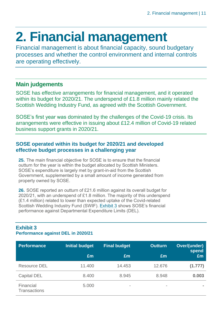## <span id="page-10-0"></span>**2. Financial management**

Financial management is about financial capacity, sound budgetary processes and whether the control environment and internal controls are operating effectively.

#### **Main judgements**

SOSE has effective arrangements for financial management, and it operated within its budget for 2020/21. The underspend of £1.8 million mainly related the Scottish Wedding Industry Fund, as agreed with the Scottish Government.

SOSE's first year was dominated by the challenges of the Covid-19 crisis. Its arrangements were effective in issuing about £12.4 million of Covid-19 related business support grants in 2020/21.

#### **SOSE operated within its budget for 2020/21 and developed effective budget processes in a challenging year**

**25.** The main financial objective for SOSE is to ensure that the financial outturn for the year is within the budget allocated by Scottish Ministers. SOSE's expenditure is largely met by grant-in-aid from the Scottish Government, supplemented by a small amount of income generated from property owned by SOSE.

**26.** SOSE reported an outturn of £21.6 million against its overall budget for 2020/21, with an underspend of £1.8 million. The majority of this underspend (£1.4 million) related to lower than expected uptake of the Covid-related Scottish Wedding Industry Fund (SWIF). [Exhibit](#page-10-1) 3 shows SOSE's financial performance against Departmental Expenditure Limits (DEL).

#### <span id="page-10-1"></span>**Exhibit 3 Performance against DEL in 2020/21**

| <b>Performance</b>               | <b>Initial budget</b> | <b>Final budget</b>      | <b>Outturn</b>           | Over/(under)<br>spend |
|----------------------------------|-----------------------|--------------------------|--------------------------|-----------------------|
|                                  | £m                    | Em                       | £m                       | Em                    |
| <b>Resource DEL</b>              | 11.400                | 14.453                   | 12.676                   | (1.777)               |
| Capital DEL                      | 8.400                 | 8.945                    | 8.948                    | 0.003                 |
| Financial<br><b>Transactions</b> | 5.000                 | $\overline{\phantom{a}}$ | $\overline{\phantom{a}}$ |                       |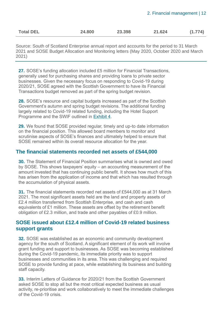| <b>Total DEL</b> | 24.800 | 23.398 | 21.624 | (1.774) |
|------------------|--------|--------|--------|---------|
|                  |        |        |        |         |

Source: South of Scotland Enterprise annual report and accounts for the period to 31 March 2021 and SOSE Budget Allocation and Monitoring letters (May 2020, October 2020 and March 2021)

**27.** SOSE's funding allocation included £5 million for Financial Transactions, generally used for purchasing shares and providing loans to private sector businesses. Given the necessary focus on responding to Covid-19 during 2020/21, SOSE agreed with the Scottish Government to have its Financial Transactions budget removed as part of the spring budget revision.

**28.** SOSE's resource and capital budgets increased as part of the Scottish Government's autumn and spring budget revisions. The additional funding largely related to Covid-19 related funding, including the Hotel Support Programme and the SWIF outlined in [Exhibit](#page-12-0) 4.

**29.** We found that SOSE provided regular, timely and up-to date information on the financial position. This allowed board members to monitor and scrutinise aspects of SOSE's finances and ultimately helped to ensure that SOSE remained within its overall resource allocation for the year.

#### **The financial statements recorded net assets of £544,000**

**30.** The Statement of Financial Position summarises what is owned and owed by SOSE. This shows taxpayers' equity – an accounting measurement of the amount invested that has continuing public benefit. It shows how much of this has arisen from the application of income and that which has resulted through the accumulation of physical assets.

**31.** The financial statements recorded net assets of £544,000 as at 31 March 2021. The most significant assets held are the land and property assets of £2.4 million transferred from Scottish Enterprise, and cash and cash equivalents of £1 million. These assets are offset by the retirement benefit obligation of £2.3 million, and trade and other payables of £0.9 million.

#### **SOSE issued about £12.4 million of Covid-19 related business support grants**

**32.** SOSE was established as an economic and community development agency for the south of Scotland. A significant element of its work will involve grant funding and support to businesses. As SOSE was becoming established during the Covid-19 pandemic, its immediate priority was to support businesses and communities in its area. This was challenging and required SOSE to provide funding at pace, while establishing its business and building staff capacity.

**33.** Interim Letters of Guidance for 2020/21 from the Scottish Government asked SOSE to stop all but the most critical expected business as usual activity, re-prioritise and work collaboratively to meet the immediate challenges of the Covid-19 crisis.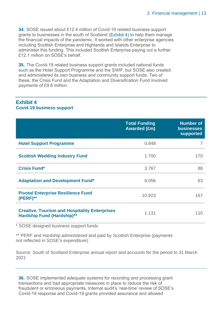**34.** SOSE issued about £12.4 million of Covid-19 related business support grants to businesses in the south of Scotland [\(Exhibit](#page-12-0) 4) to help them manage the financial impacts of the pandemic. It worked with other enterprise agencies including Scottish Enterprise and Highlands and Islands Enterprise to administer this funding. This included Scottish Enterprise paying out a further £12.1 million on SOSE's behalf.

**35.** The Covid-19 related business support grants included national funds such as the Hotel Support Programme and the SWIF, but SOSE also created and administered its own business and community support funds. Two of these, the Crisis Fund and the Adaptation and Diversification Fund involved payments of £9.8 million.

#### <span id="page-12-0"></span>**Exhibit 4 Covid-19 business support**

|                                                                                           | <b>Total Funding</b><br><b>Awarded (£m)</b> | <b>Number of</b><br><b>businesses</b><br>supported |
|-------------------------------------------------------------------------------------------|---------------------------------------------|----------------------------------------------------|
| <b>Hotel Support Programme</b>                                                            | 0.848                                       |                                                    |
| <b>Scottish Wedding Industry Fund</b>                                                     | 1.700                                       | 170                                                |
| <b>Crisis Fund*</b>                                                                       | 3.767                                       | 88                                                 |
| <b>Adaptation and Development Fund*</b>                                                   | 6.056                                       | 63                                                 |
| <b>Pivotal Enterprise Resilience Fund</b><br>$(PERF)$ **                                  | 10.923                                      | 167                                                |
| <b>Creative, Tourism and Hospitality Enterprises</b><br><b>Hardship Fund (Hardship)**</b> | 1.131                                       | 110                                                |

\* SOSE designed business support funds

\*\* PERF and Hardship administered and paid by Scottish Enterprise (payments not reflected in SOSE's expenditure)

Source: South of Scotland Enterprise annual report and accounts for the period to 31 March 2021

**36.** SOSE implemented adequate systems for recording and processing grant transactions and had appropriate measures in place to reduce the risk of fraudulent or erroneous payments. Internal audit's 'real-time' review of SOSE's Covid-19 response and Covid-19 grants provided assurance and allowed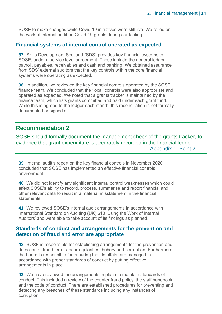SOSE to make changes while Covid-19 initiatives were still live. We relied on the work of internal audit on Covid-19 grants during our testing.

#### **Financial systems of internal control operated as expected**

**37.** Skills Development Scotland (SDS) provides key financial systems to SOSE, under a service level agreement. These include the general ledger, payroll, payables, receivables and cash and banking. We obtained assurance from SDS' external auditors that the key controls within the core financial systems were operating as expected.

**38.** In addition, we reviewed the key financial controls operated by the SOSE finance team. We concluded that the 'local' controls were also appropriate and operated as expected. We noted that a grants tracker is maintained by the finance team, which lists grants committed and paid under each grant fund. While this is agreed to the ledger each month, this reconciliation is not formally documented or signed off.

#### **Recommendation 2**

SOSE should formally document the management check of the grants tracker, to evidence that grant expenditure is accurately recorded in the financial ledger. [Appendix 1, Point 2](#page-23-0)

**39.** Internal audit's report on the key financial controls in November 2020 concluded that SOSE has implemented an effective financial controls environment.

**40.** We did not identify any significant internal control weaknesses which could affect SOSE's ability to record, process, summarise and report financial and other relevant data to result in a material misstatement in the financial statements.

**41.** We reviewed SOSE's internal audit arrangements in accordance with International Standard on Auditing (UK) 610 'Using the Work of Internal Auditors' and were able to take account of its findings as planned.

#### **Standards of conduct and arrangements for the prevention and detection of fraud and error are appropriate**

**42.** SOSE is responsible for establishing arrangements for the prevention and detection of fraud, error and irregularities, bribery and corruption. Furthermore, the board is responsible for ensuring that its affairs are managed in accordance with proper standards of conduct by putting effective arrangements in place.

**43.** We have reviewed the arrangements in place to maintain standards of conduct. This included a review of the counter fraud policy, the staff handbook and the code of conduct. There are established procedures for preventing and detecting any breaches of these standards including any instances of corruption.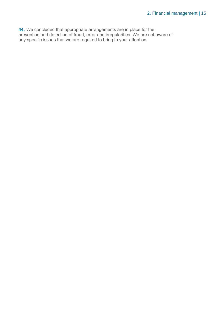**44.** We concluded that appropriate arrangements are in place for the prevention and detection of fraud, error and irregularities. We are not aware of any specific issues that we are required to bring to your attention.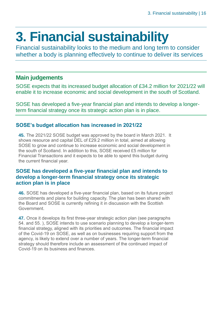## <span id="page-15-0"></span>**3. Financial sustainability**

Financial sustainability looks to the medium and long term to consider whether a body is planning effectively to continue to deliver its services

#### **Main judgements**

SOSE expects that its increased budget allocation of £34.2 million for 2021/22 will enable it to increase economic and social development in the south of Scotland.

SOSE has developed a five-year financial plan and intends to develop a longerterm financial strategy once its strategic action plan is in place.

#### **SOSE's budget allocation has increased in 2021/22**

**45.** The 2021/22 SOSE budget was approved by the board in March 2021. It shows resource and capital DEL of £29.2 million in total, aimed at allowing SOSE to grow and continue to increase economic and social development in the south of Scotland. In addition to this, SOSE received £5 million for Financial Transactions and it expects to be able to spend this budget during the current financial year.

#### **SOSE has developed a five-year financial plan and intends to develop a longer-term financial strategy once its strategic action plan is in place**

**46.** SOSE has developed a five-year financial plan, based on its future project commitments and plans for building capacity. The plan has been shared with the Board and SOSE is currently refining it in discussion with the Scottish Government.

**47.** Once it develops its first three-year strategic action plan (see paragraphs [54. a](#page-17-0)nd [55. \)](#page-17-1), SOSE intends to use scenario planning to develop a longer-term financial strategy, aligned with its priorities and outcomes. The financial impact of the Covid-19 on SOSE, as well as on businesses requiring support from the agency, is likely to extend over a number of years. The longer-term financial strategy should therefore include an assessment of the continued impact of Covid-19 on its business and finances.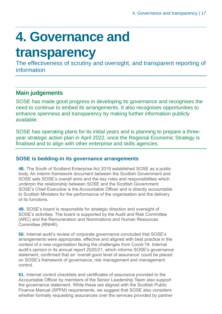## <span id="page-16-0"></span>**4. Governance and**

### **transparency**

The effectiveness of scrutiny and oversight, and transparent reporting of information

#### **Main judgements**

SOSE has made good progress in developing its governance and recognises the need to continue to embed its arrangements. It also recognises opportunities to enhance openness and transparency by making further information publicly available.

SOSE has operating plans for its initial years and is planning to prepare a threeyear strategic action plan in April 2022, once the Regional Economic Strategy is finalised and to align with other enterprise and skills agencies.

#### **SOSE is bedding-in its governance arrangements**

**48.** The South of Scotland Enterprise Act 2019 established SOSE as a public body. An interim framework document between the Scottish Government and SOSE sets SOSE's overall aims and the key roles and responsibilities which underpin the relationship between SOSE and the Scottish Government. SOSE's Chief Executive is the Accountable Officer and is directly accountable to Scottish Ministers for the performance of the organisation and the delivery of its functions.

**49.** SOSE's board is responsible for strategic direction and oversight of SOSE's activities. The board is supported by the Audit and Risk Committee (ARC) and the Remuneration and Nominations and Human Resources Committee (RNHR).

**50.** Internal audit's review of corporate governance concluded that SOSE's arrangements were appropriate, effective and aligned with best practice in the context of a new organisation facing the challenges from Covid-19. Internal audit's opinion in its annual report 2020/21, which informs SOSE's governance statement, confirmed that an 'overall good level of assurance' could be placed on SOSE's framework of governance, risk management and management control.

**51.** Internal control checklists and certificates of assurance provided to the Accountable Officer by members of the Senior Leadership Team also support the governance statement. While these are aligned with the Scottish Public Finance Manual (SPFM) requirements, we suggest that SOSE also considers whether formally requesting assurances over the services provided by partner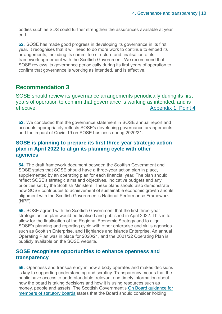bodies such as SDS could further strengthen the assurances available at year end.

**52.** SOSE has made good progress in developing its governance in its first year. It recognises that it will need to do more work to continue to embed its arrangements, including its committee structure and finalisation of its framework agreement with the Scottish Government. We recommend that SOSE reviews its governance periodically during its first years of operation to confirm that governance is working as intended, and is effective.

#### **Recommendation 3**

SOSE should review its governance arrangements periodically during its first years of operation to confirm that governance is working as intended, and is effective. [Appendix 1, Point 4](#page-23-0)

**53.** We concluded that the governance statement in SOSE annual report and accounts appropriately reflects SOSE's developing governance arrangements and the impact of Covid-19 on SOSE business during 2020/21.

#### **SOSE is planning to prepare its first three-year strategic action plan in April 2022 to align its planning cycle with other agencies**

<span id="page-17-0"></span>**54.** The draft framework document between the Scottish Government and SOSE states that SOSE should have a three-year action plan in place, supplemented by an operating plan for each financial year. The plan should reflect SOSE's strategic aims and objectives, indicative budgets and any priorities set by the Scottish Ministers. These plans should also demonstrate how SOSE contributes to achievement of sustainable economic growth and its alignment with the Scottish Government's National Performance Framework (NPF).

<span id="page-17-1"></span>**55.** SOSE agreed with the Scottish Government that the first three-year strategic action plan would be finalised and published in April 2022. This is to allow for the finalisation of the Regional Economic Strategy and to align SOSE's planning and reporting cycle with other enterprise and skills agencies such as Scottish Enterprise, and Highlands and Islands Enterprise. An annual Operating Plan was in place for 2020/21, and the 2021/22 Operating Plan is publicly available on the SOSE website.

#### **SOSE recognises opportunities to enhance openness and transparency**

**56.** Openness and transparency in how a body operates and makes decisions is key to supporting understanding and scrutiny. Transparency means that the public have access to understandable, relevant and timely information about how the board is taking decisions and how it is using resources such as money, people and assets. The Scottish Government's [On Board guidance for](https://www.gov.scot/publications/board-guide-members-statutory-boards/documents/)  [members of statutory boards](https://www.gov.scot/publications/board-guide-members-statutory-boards/documents/) states that the Board should consider holding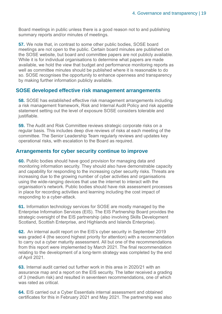Board meetings in public unless there is a good reason not to and publishing summary reports and/or minutes of meetings.

**57.** We note that, in contrast to some other public bodies, SOSE board meetings are not open to the public. Certain board minutes are published on the SOSE website, but board and committee papers are not publicly available. While it is for individual organisations to determine what papers are made available, we hold the view that budget and performance monitoring reports as well as committee minutes should be published where it is reasonable to do so. SOSE recognises the opportunity to enhance openness and transparency by making further information publicly available.

#### **SOSE developed effective risk management arrangements**

**58.** SOSE has established effective risk management arrangements including a risk management framework, Risk and Internal Audit Policy and risk appetite statement setting out the level of exposure SOSE considers tolerable and justifiable.

**59.** The Audit and Risk Committee reviews strategic corporate risks on a regular basis. This includes deep dive reviews of risks at each meeting of the committee. The Senior Leadership Team regularly reviews and updates key operational risks, with escalation to the Board as required.

#### **Arrangements for cyber security continue to improve**

**60.** Public bodies should have good provision for managing data and monitoring information security. They should also have demonstrable capacity and capability for responding to the increasing cyber security risks. Threats are increasing due to the growing number of cyber activities and organisations using the wide-ranging devices that use the internet to interact with the organisation's network. Public bodies should have risk assessment processes in place for recording activities and learning including the cost impact of responding to a cyber-attack.

**61.** Information technology services for SOSE are mostly managed by the Enterprise Information Services (EIS). The EIS Partnership Board provides the strategic oversight of the EIS partnership (also involving Skills Development Scotland, Scottish Enterprise, and Highlands and Islands Enterprise).

**62.** An internal audit report on the EIS's cyber security in September 2019 was graded 4 (the second highest priority for attention) with a recommendation to carry out a cyber maturity assessment. All but one of the recommendations from this report were implemented by March 2021. The final recommendation relating to the development of a long-term strategy was completed by the end of April 2021.

**63.** Internal audit carried out further work in this area in 2020/21 with an assurance map and a report on the EIS security. The latter received a grading of 3 (medium risk) and resulted in seventeen recommendations, one of which was rated as critical

**64.** EIS carried out a Cyber Essentials internal assessment and obtained certificates for this in February 2021 and May 2021. The partnership was also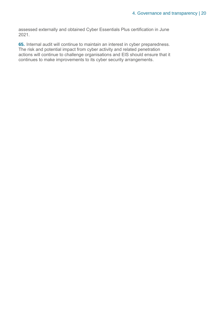assessed externally and obtained Cyber Essentials Plus certification in June 2021.

**65.** Internal audit will continue to maintain an interest in cyber preparedness. The risk and potential impact from cyber activity and related penetration actions will continue to challenge organisations and EIS should ensure that it continues to make improvements to its cyber security arrangements.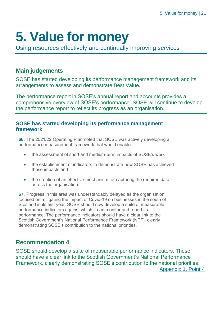## <span id="page-20-0"></span>**5. Value for money**

Using resources effectively and continually improving services

#### **Main judgements**

SOSE has started developing its performance management framework and its arrangements to assess and demonstrate Best Value.

The performance report in SOSE's annual report and accounts provides a comprehensive overview of SOSE's performance. SOSE will continue to develop the performance report to reflect its progress as an organisation.

#### **SOSE has started developing its performance management framework**

<span id="page-20-1"></span>**66.** The 2021/22 Operating Plan noted that SOSE was actively developing a performance measurement framework that would enable:

- the assessment of short and medium-term impacts of SOSE's work
- the establishment of indicators to demonstrate how SOSE has achieved those impacts and
- the creation of an effective mechanism for capturing the required data across the organisation.

**67.** Progress in this area was understandably delayed as the organisation focused on mitigating the impact of Covid-19 on businesses in the south of Scotland in its first year. SOSE should now develop a suite of measurable performance indicators against which it can monitor and report its performance. The performance indicators should have a clear link to the Scottish Government's National Performance Framework (NPF), clearly demonstrating SOSE's contribution to the national priorities.

#### **Recommendation 4**

SOSE should develop a suite of measurable performance indicators. These should have a clear link to the Scottish Government's National Performance Framework, clearly demonstrating SOSE's contribution to the national priorities. [Appendix 1, Point 4](#page-23-0)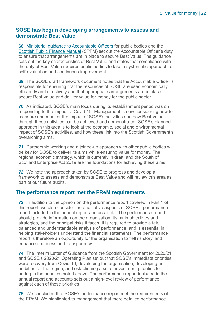#### **SOSE has begun developing arrangements to assess and demonstrate Best Value**

**68.** [Ministerial guidance to Accountable Officers](https://www.gov.scot/publications/best-value-public-services-guidance-accountable-officers/) for public bodies and the [Scottish Public Finance Manual](https://www.gov.scot/publications/scottish-public-finance-manual/best-value/best-value/) (SPFM) set out the Accountable Officer's duty to ensure that arrangements are in place to secure Best Value. The guidance sets out the key characteristics of Best Value and states that compliance with the duty of Best Value requires public bodies to take a systematic approach to self-evaluation and continuous improvement.

**69.** The SOSE draft framework document notes that the Accountable Officer is responsible for ensuring that the resources of SOSE are used economically, efficiently and effectively and that appropriate arrangements are in place to secure Best Value and deliver value for money for the public sector.

**70.** As indicated, SOSE's main focus during its establishment period was on responding to the impact of Covid-19. Management is now considering how to measure and monitor the impact of SOSE's activities and how Best Value through these activities can be achieved and demonstrated. SOSE's planned approach in this area is to look at the economic, social and environmental impact of SOSE's activities, and how these link into the Scottish Government's overarching aims.

**71.** Partnership working and a joined-up approach with other public bodies will be key for SOSE to deliver its aims while ensuring value for money. The regional economic strategy, which is currently in draft, and the South of Scotland Enterprise Act 2019 are the foundations for achieving these aims.

**72.** We note the approach taken by SOSE to progress and develop a framework to assess and demonstrate Best Value and will review this area as part of our future audits.

#### **The performance report met the FReM requirements**

**73.** In addition to the opinion on the performance report covered in Part 1 of this report, we also consider the qualitative aspects of SOSE's performance report included in the annual report and accounts. The performance report should provide information on the organisation, its main objectives and strategies, and the principal risks it faces. It is required to provide a fair, balanced and understandable analysis of performance, and is essential in helping stakeholders understand the financial statements. The performance report is therefore an opportunity for the organisation to 'tell its story' and enhance openness and transparency.

**74.** The Interim Letter of Guidance from the Scottish Government for 2020/21 and SOSE's 2020/21 Operating Plan set out that SOSE's immediate priorities were recovery from Covid-19, developing the organisation, developing an ambition for the region, and establishing a set of investment priorities to underpin the priorities noted above. The performance report included in the annual report and accounts sets out a high-level review of performance against each of these priorities.

**75.** We concluded that SOSE's performance report met the requirements of the FReM. We highlighted to management that more detailed performance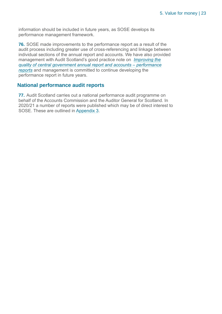information should be included in future years, as SOSE develops its performance management framework.

**76.** SOSE made improvements to the performance report as a result of the audit process including greater use of cross-referencing and linkage between individual sections of the annual report and accounts. We have also provided management with Audit Scotland's good practice note on *[Improving the](https://www.audit-scotland.gov.uk/uploads/docs/um/gp_improving_quality_central_government_accounts.pdf)  [quality of central government annual report and accounts –](https://www.audit-scotland.gov.uk/uploads/docs/um/gp_improving_quality_central_government_accounts.pdf) performance [reports](https://www.audit-scotland.gov.uk/uploads/docs/um/gp_improving_quality_central_government_accounts.pdf)* and management is committed to continue developing the performance report in future years.

#### **National performance audit reports**

**77.** Audit Scotland carries out a national performance audit programme on behalf of the Accounts Commission and the Auditor General for Scotland. In 2020/21 a number of reports were published which may be of direct interest to SOSE. These are outlined in [Appendix 3](#page-29-0).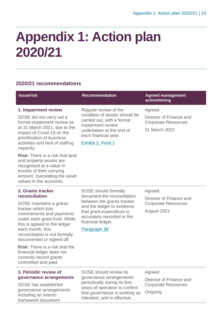### <span id="page-23-0"></span>**Appendix 1: Action plan 2020/21**

#### **2020/21 recommendations**

| <b>Issue/risk</b>                                                                                                                                                                                                                                                    | <b>Recommendation</b>                                                                                                                                                               | <b>Agreed management</b><br>action/timing                                         |
|----------------------------------------------------------------------------------------------------------------------------------------------------------------------------------------------------------------------------------------------------------------------|-------------------------------------------------------------------------------------------------------------------------------------------------------------------------------------|-----------------------------------------------------------------------------------|
| 1. Impairment review<br>SOSE did not carry out a<br>formal impairment review as<br>at 31 March 2021, due to the<br>impact of Covid-19 on the<br>prioritisation of business<br>activities and lack of staffing<br>capacity.<br><b>Risk:</b> There is a risk that land | Regular review of the<br>condition of assets should be<br>carried out, with a formal<br>impairment review<br>undertaken at the end of<br>each financial year.<br>Exhibit 2, Point 1 | Agreed.<br>Director of Finance and<br><b>Corporate Resources</b><br>31 March 2022 |
| and property assets are<br>recognised at a value in<br>excess of their carrying<br>amount, overstating the asset<br>values in the accounts.                                                                                                                          |                                                                                                                                                                                     |                                                                                   |
| 2. Grants tracker<br>reconciliation                                                                                                                                                                                                                                  | SOSE should formally<br>document the reconciliation                                                                                                                                 | Agreed.                                                                           |
| SOSE maintains a grants                                                                                                                                                                                                                                              | between the grants tracker<br>and the ledger to evidence                                                                                                                            | Director of Finance and<br><b>Corporate Resources</b>                             |
| tracker which lists<br>commitments and payments<br>under each grant fund. While<br>this is agreed to the ledger<br>each month, this<br>reconciliation is not formally<br>documented or signed off.                                                                   | that grant expenditure is<br>accurately recorded in the<br>financial ledger.<br>Paragraph 38                                                                                        | August 2021                                                                       |
| <b>Risk:</b> There is a risk that the<br>financial ledger does not<br>correctly record grants<br>committed and paid.                                                                                                                                                 |                                                                                                                                                                                     |                                                                                   |
|                                                                                                                                                                                                                                                                      |                                                                                                                                                                                     |                                                                                   |
| 3. Periodic review of<br>governance arrangements                                                                                                                                                                                                                     | SOSE should review its<br>governance arrangements                                                                                                                                   | Agreed.                                                                           |

SOSE has established governance arrangements including an interim framework document

periodically during its first years of operation to confirm that governance is working as intended, and is effective.

Director of Finance and Corporate Resources Ongoing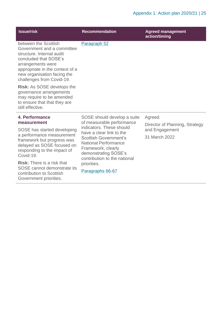| <b>Issue/risk</b>                                                                                                                                                                                                            | <b>Recommendation</b>                                                                                                                                                                                                          | <b>Agreed management</b><br>action/timing        |
|------------------------------------------------------------------------------------------------------------------------------------------------------------------------------------------------------------------------------|--------------------------------------------------------------------------------------------------------------------------------------------------------------------------------------------------------------------------------|--------------------------------------------------|
| between the Scottish<br>Government and a committee<br>structure. Internal audit<br>concluded that SOSE's<br>arrangements were<br>appropriate in the context of a<br>new organisation facing the<br>challenges from Covid-19. | Paragraph 52                                                                                                                                                                                                                   |                                                  |
| <b>Risk: As SOSE develops the</b><br>governance arrangements<br>may require to be amended<br>to ensure that that they are<br>still effective.                                                                                |                                                                                                                                                                                                                                |                                                  |
| 4. Performance                                                                                                                                                                                                               | SOSE should develop a suite                                                                                                                                                                                                    | Agreed.                                          |
| measurement<br>SOSE has started developing                                                                                                                                                                                   | of measurable performance<br>indicators. These should<br>have a clear link to the<br><b>Scottish Government's</b><br><b>National Performance</b><br>Framework, clearly<br>demonstrating SOSE's<br>contribution to the national | Director of Planning, Strategy<br>and Engagement |
| a performance measurement                                                                                                                                                                                                    |                                                                                                                                                                                                                                | 31 March 2022                                    |
| framework but progress was<br>delayed as SOSE focused on<br>responding to the impact of<br>Covid-19.                                                                                                                         |                                                                                                                                                                                                                                |                                                  |
| <b>Risk:</b> There is a risk that                                                                                                                                                                                            | priorities.                                                                                                                                                                                                                    |                                                  |
| SOSE cannot demonstrate its<br>contribution to Scottish<br>Government priorities.                                                                                                                                            | Paragraphs 66-67                                                                                                                                                                                                               |                                                  |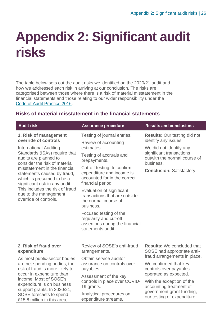### <span id="page-25-0"></span>**Appendix 2: Significant audit risks**

The table below sets out the audit risks we identified on the 2020/21 audit and how we addressed each risk in arriving at our conclusion. The risks are categorised between those where there is a risk of material misstatement in the financial statements and those relating to our wider responsibility under the [Code of Audit Practice 2016.](http://www.audit-scotland.gov.uk/report/code-of-audit-practice-2016)

#### **Risks of material misstatement in the financial statements**

| <b>Audit risk</b>                                                                                                                                                                                                                                 | <b>Assurance procedure</b>                                                                                    | <b>Results and conclusions</b>                                        |
|---------------------------------------------------------------------------------------------------------------------------------------------------------------------------------------------------------------------------------------------------|---------------------------------------------------------------------------------------------------------------|-----------------------------------------------------------------------|
| 1. Risk of management                                                                                                                                                                                                                             | Testing of journal entries.                                                                                   | <b>Results: Our testing did not</b>                                   |
| override of controls<br><b>International Auditing</b>                                                                                                                                                                                             | Review of accounting<br>estimates.                                                                            | identify any issues.<br>We did not identify any                       |
| Standards (ISAs) require that<br>audits are planned to                                                                                                                                                                                            | Testing of accruals and<br>prepayments.                                                                       | significant transactions<br>outwith the normal course of<br>business. |
| consider the risk of material<br>misstatement in the financial<br>statements caused by fraud,<br>which is presumed to be a<br>significant risk in any audit.<br>This includes the risk of fraud<br>due to the management<br>override of controls. | Cut-off testing, to confirm<br>expenditure and income is<br>accounted for in the correct<br>financial period. | <b>Conclusion: Satisfactory</b>                                       |
|                                                                                                                                                                                                                                                   | Evaluation of significant<br>transactions that are outside<br>the normal course of<br>business.               |                                                                       |
|                                                                                                                                                                                                                                                   | Focused testing of the<br>regularity and cut-off<br>assertions during the financial<br>statements audit.      |                                                                       |
| 2. Risk of fraud over                                                                                                                                                                                                                             | Review of SOSE's anti-fraud                                                                                   | <b>Results:</b> We concluded that                                     |
| expenditure                                                                                                                                                                                                                                       | arrangements.                                                                                                 | SOSE had appropriate anti-                                            |
| As most public-sector bodies                                                                                                                                                                                                                      | Obtain service auditor<br>assurance on controls over<br>payables.                                             | fraud arrangements in place.                                          |
| are net spending bodies, the<br>risk of fraud is more likely to<br>occur in expenditure than<br>income. Most of SOSE's<br>expenditure is on business<br>support grants. In 2020/21,<br>SOSE forecasts to spend<br>£15.8 million in this area,     |                                                                                                               | We confirmed that key<br>controls over payables                       |
|                                                                                                                                                                                                                                                   | Assessment of the key                                                                                         | operated as expected.                                                 |
|                                                                                                                                                                                                                                                   | controls in place over COVID-<br>19 grants.                                                                   | With the exception of the<br>accounting treatment of                  |
|                                                                                                                                                                                                                                                   | Analytical procedures on<br>expenditure streams.                                                              | government grant funding,<br>our testing of expenditure               |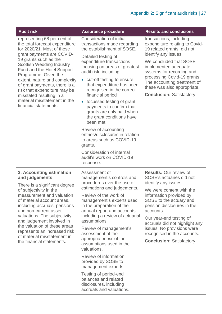| <b>Audit risk</b>                                                                                                                                                                                                                                                                                                                                                                                                                  | <b>Assurance procedure</b>                                                                                                                                                                                                                                                                                                                                                                                                                         | <b>Results and conclusions</b>                                                                                                                                                                                                                                                                                                 |
|------------------------------------------------------------------------------------------------------------------------------------------------------------------------------------------------------------------------------------------------------------------------------------------------------------------------------------------------------------------------------------------------------------------------------------|----------------------------------------------------------------------------------------------------------------------------------------------------------------------------------------------------------------------------------------------------------------------------------------------------------------------------------------------------------------------------------------------------------------------------------------------------|--------------------------------------------------------------------------------------------------------------------------------------------------------------------------------------------------------------------------------------------------------------------------------------------------------------------------------|
| representing 68 per cent of<br>the total forecast expenditure<br>for 2020/21. Most of these<br>grant payments are COVID-<br>19 grants such as the<br><b>Scottish Wedding Industry</b><br>Fund and the Hotel Support<br>Programme. Given the<br>extent, nature and complexity<br>of grant payments, there is a<br>risk that expenditure may be<br>misstated resulting in a<br>material misstatement in the<br>financial statements. | Consideration of initial<br>transactions made regarding<br>the establishment of SOSE.<br>Detailed testing of<br>expenditure transactions<br>focusing on areas of greatest<br>audit risk, including:<br>• cut-off testing to ensure<br>that expenditure has been<br>recognised in the correct<br>financial period<br>• focussed testing of grant<br>payments to confirm that<br>grants are only paid when<br>the grant conditions have<br>been met. | transactions, including<br>expenditure relating to Covid-<br>19 related grants, did not<br>identify any issues.<br>We concluded that SOSE<br>implemented adequate<br>systems for recording and<br>processing Covid-19 grants.<br>The accounting treatment of<br>these was also appropriate.<br><b>Conclusion: Satisfactory</b> |
|                                                                                                                                                                                                                                                                                                                                                                                                                                    | Review of accounting<br>entries/disclosures in relation<br>to areas such as COVID-19<br>grants.                                                                                                                                                                                                                                                                                                                                                    |                                                                                                                                                                                                                                                                                                                                |
|                                                                                                                                                                                                                                                                                                                                                                                                                                    | Consideration of internal<br>audit's work on COVID-19<br>response.                                                                                                                                                                                                                                                                                                                                                                                 |                                                                                                                                                                                                                                                                                                                                |
| 3. Accounting estimation<br>and judgements<br>There is a significant degree                                                                                                                                                                                                                                                                                                                                                        | Assessment of<br>management's controls and<br>procedures over the use of<br>estimations and judgements.                                                                                                                                                                                                                                                                                                                                            | <b>Results: Our review of</b><br>SOSE's actuaries did not<br>identify any issues.<br>We were content with the                                                                                                                                                                                                                  |
| of subjectivity in the<br>measurement and valuation<br>of material account areas,<br>including accruals, pensions<br>and non-current asset<br>valuations. The subjectivity<br>and judgement involved in<br>the valuation of these areas<br>represents an increased risk<br>of material misstatement in<br>the financial statements.                                                                                                | Review of the work of<br>management's experts used<br>in the preparation of the<br>annual report and accounts                                                                                                                                                                                                                                                                                                                                      | information provided by<br>SOSE to the actuary and<br>pension disclosures in the<br>accounts.                                                                                                                                                                                                                                  |
|                                                                                                                                                                                                                                                                                                                                                                                                                                    | including a review of actuarial<br>assumptions.                                                                                                                                                                                                                                                                                                                                                                                                    | Our year-end testing of<br>accruals did not highlight any                                                                                                                                                                                                                                                                      |
|                                                                                                                                                                                                                                                                                                                                                                                                                                    | Review of management's<br>assessment of the<br>appropriateness of the                                                                                                                                                                                                                                                                                                                                                                              | issues. No provisions were<br>recognised in the accounts.<br><b>Conclusion: Satisfactory</b>                                                                                                                                                                                                                                   |
|                                                                                                                                                                                                                                                                                                                                                                                                                                    | assumptions used in the<br>valuations.                                                                                                                                                                                                                                                                                                                                                                                                             |                                                                                                                                                                                                                                                                                                                                |
|                                                                                                                                                                                                                                                                                                                                                                                                                                    | Review of information<br>provided by SOSE to<br>management experts.                                                                                                                                                                                                                                                                                                                                                                                |                                                                                                                                                                                                                                                                                                                                |
|                                                                                                                                                                                                                                                                                                                                                                                                                                    | Testing of period-end<br>balances and related<br>disclosures, including<br>accruals and valuations.                                                                                                                                                                                                                                                                                                                                                |                                                                                                                                                                                                                                                                                                                                |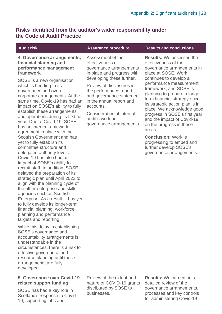#### **Risks identified from the auditor's wider responsibility under the Code of Audit Practice**

#### **4. Governance arrangements, financial planning and performance management framework**

SOSE is a new organisation which is bedding-in its governance and overall corporate arrangements. At the same time, Covid-19 has had an impact on SOSE's ability to fully establish these arrangements and operations during its first full year. Due to Covid-19, SOSE has an interim framework agreement in place with the Scottish Government and has yet to fully establish its committee structure and delegated authority levels. Covid-19 has also had an impact of SOSE's ability to recruit staff. In addition, SOSE delayed the preparation of its strategic plan until April 2022 to align with the planning cycle of the other enterprise and skills agencies such as Scottish Enterprise. As a result, it has yet to fully develop its longer-term financial planning, workforce planning and performance targets and reporting.

While this delay in establishing SOSE's governance and accountability arrangements is understandable in the circumstances, there is a risk to effective governance and resource planning until these arrangements are fully developed.

#### **5. Governance over Covid-19 related support funding**

SOSE has had a key role in Scotland's response to Covid-19, supporting jobs and

Assessment of the effectiveness of governance arrangements in place and progress with developing these further.

Review of disclosures in the performance report and governance statement in the annual report and accounts.

Consideration of internal audit's work on governance arrangements.

#### **Audit risk Assurance procedure Results and conclusions**

**Results:** We assessed the effectiveness of the governance arrangements in place at SOSE. Work continues to develop a performance measurement framework, and SOSE is planning to prepare a longerterm financial strategy once its strategic action plan is in place. We acknowledge good progress in SOSE's first year and the impact of Covid-19 on the progress in these areas.

**Conclusion:** Work is progressing to embed and further develop SOSE's governance arrangements.

Review of the extent and nature of COVID-19 grants distributed by SOSE to businesses.

**Results:** We carried out a detailed review of the governance arrangements, processes and key controls for administering Covid-19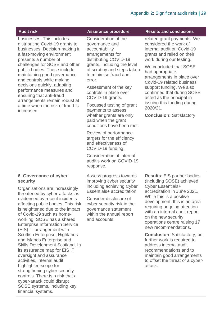| <b>Audit risk</b>                                                                                                                                                                                                                                                                                                                                                                                                                                                                                                                                                                                                                                                                                                             | <b>Assurance procedure</b>                                                                                                                                                                                                                                                                                                                                                                                                                                                                     | <b>Results and conclusions</b>                                                                                                                                                                                                                                                                                                                                                                                                                                                                                                                |
|-------------------------------------------------------------------------------------------------------------------------------------------------------------------------------------------------------------------------------------------------------------------------------------------------------------------------------------------------------------------------------------------------------------------------------------------------------------------------------------------------------------------------------------------------------------------------------------------------------------------------------------------------------------------------------------------------------------------------------|------------------------------------------------------------------------------------------------------------------------------------------------------------------------------------------------------------------------------------------------------------------------------------------------------------------------------------------------------------------------------------------------------------------------------------------------------------------------------------------------|-----------------------------------------------------------------------------------------------------------------------------------------------------------------------------------------------------------------------------------------------------------------------------------------------------------------------------------------------------------------------------------------------------------------------------------------------------------------------------------------------------------------------------------------------|
| businesses. This includes<br>distributing Covid-19 grants to<br>businesses. Decision-making in<br>a fast-moving environment<br>presents a number of<br>challenges for SOSE and other<br>public bodies. These include<br>maintaining good governance<br>and controls while making<br>decisions quickly, adapting<br>performance measures and<br>ensuring that anti-fraud<br>arrangements remain robust at<br>a time when the risk of fraud is<br>increased.                                                                                                                                                                                                                                                                    | Consideration of the<br>governance and<br>accountability<br>arrangements for<br>distributing COVID-19<br>grants, including the level<br>of scrutiny and steps taken<br>to minimise fraud and<br>error.<br>Assessment of the key<br>controls in place over<br>COVID-19 grants.<br>Focussed testing of grant<br>payments to assess<br>whether grants are only<br>paid when the grant<br>conditions have been met.<br>Review of performance<br>targets for the efficiency<br>and effectiveness of | related grant payments. We<br>considered the work of<br>internal audit on Covid-19<br>grants and relied on their<br>work during our testing.<br>We concluded that SOSE<br>had appropriate<br>arrangements in place over<br>Covid-19 related business<br>support funding. We also<br>confirmed that during SOSE<br>acted as the principal in<br>issuing this funding during<br>2020/21.<br><b>Conclusion: Satisfactory</b>                                                                                                                     |
|                                                                                                                                                                                                                                                                                                                                                                                                                                                                                                                                                                                                                                                                                                                               | COVID-19 funding.                                                                                                                                                                                                                                                                                                                                                                                                                                                                              |                                                                                                                                                                                                                                                                                                                                                                                                                                                                                                                                               |
|                                                                                                                                                                                                                                                                                                                                                                                                                                                                                                                                                                                                                                                                                                                               | Consideration of internal<br>audit's work on COVID-19<br>response.                                                                                                                                                                                                                                                                                                                                                                                                                             |                                                                                                                                                                                                                                                                                                                                                                                                                                                                                                                                               |
| 6. Governance of cyber<br>security<br>Organisations are increasingly<br>threatened by cyber-attacks as<br>evidenced by recent incidents<br>affecting public bodies. This risk<br>is heightened due to the impact<br>of Covid-19 such as home-<br>working. SOSE has a shared<br><b>Enterprise Information Service</b><br>(EIS) IT arrangement with<br>Scottish Enterprise, Highlands<br>and Islands Enterprise and<br>Skills Development Scotland. In<br>its assurance map for EIS IT<br>oversight and assurance<br>activities, internal audit<br>highlighted scope for<br>strengthening cyber security<br>controls. There is a risk that a<br>cyber-attack could disrupt<br>SOSE systems, including key<br>financial systems. | Assess progress towards<br>improving cyber security<br>including achieving Cyber<br>Essentials+ accreditation.<br>Consider disclosure of<br>cyber security risk in the<br>governance statement<br>within the annual report<br>and accounts.                                                                                                                                                                                                                                                    | <b>Results: EIS partner bodies</b><br>(including SOSE) achieved<br><b>Cyber Essentials+</b><br>accreditation in June 2021.<br>While this is a positive<br>development, this is an area<br>requiring ongoing attention<br>with an internal audit report<br>on the new security<br>operations centre raising 17<br>new recommendations.<br><b>Conclusion: Satisfactory, but</b><br>further work is required to<br>address internal audit<br>recommendations and to<br>maintain good arrangements<br>to offset the threat of a cyber-<br>attack. |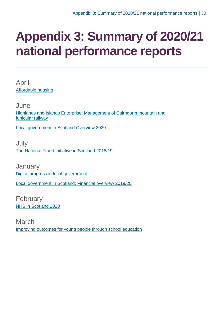### <span id="page-29-0"></span>**Appendix 3: Summary of 2020/21 national performance reports**

April [Affordable housing](https://www.audit-scotland.gov.uk/report/affordable-housing)

June [Highlands and Islands Enterprise: Management of Cairngorm mountain and](https://www.audit-scotland.gov.uk/report/highlands-and-islands-enterprise-management-of-cairngorm-mountain-and-funicular-railway)  [funicular railway](https://www.audit-scotland.gov.uk/report/highlands-and-islands-enterprise-management-of-cairngorm-mountain-and-funicular-railway)

[Local government in Scotland Overview 2020](https://www.audit-scotland.gov.uk/report/local-government-in-scotland-overview-2020)

**July** [The National Fraud Initiative in Scotland 2018/19](https://www.audit-scotland.gov.uk/report/the-national-fraud-initiative-in-scotland-201819)

**January** [Digital progress in local government](https://www.audit-scotland.gov.uk/report/digital-progress-in-local-government) [Local government in Scotland: Financial overview 2019/20](https://www.audit-scotland.gov.uk/report/local-government-in-scotland-financial-overview-201920)

February [NHS in Scotland 2020](https://www.audit-scotland.gov.uk/report/nhs-in-scotland-2020)

March [Improving outcomes for young people through school education](https://www.audit-scotland.gov.uk/report/improving-outcomes-for-young-people-through-school-education)